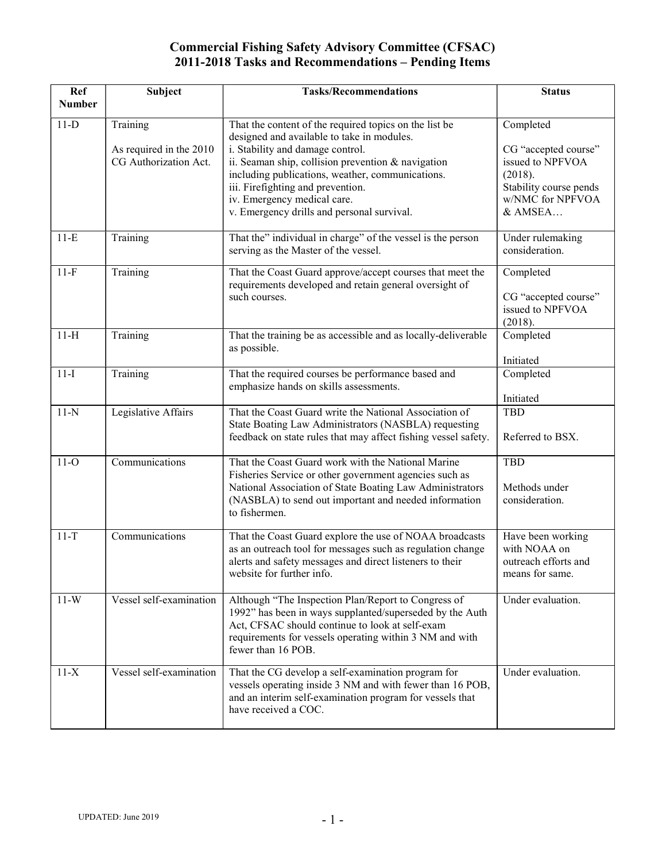| <b>Ref</b><br><b>Number</b> | Subject                                                      | <b>Tasks/Recommendations</b>                                                                                                                                                                                                                                                                                                                                         | <b>Status</b>                                                                                                             |
|-----------------------------|--------------------------------------------------------------|----------------------------------------------------------------------------------------------------------------------------------------------------------------------------------------------------------------------------------------------------------------------------------------------------------------------------------------------------------------------|---------------------------------------------------------------------------------------------------------------------------|
| $11-D$                      | Training<br>As required in the 2010<br>CG Authorization Act. | That the content of the required topics on the list be<br>designed and available to take in modules.<br>i. Stability and damage control.<br>ii. Seaman ship, collision prevention & navigation<br>including publications, weather, communications.<br>iii. Firefighting and prevention.<br>iv. Emergency medical care.<br>v. Emergency drills and personal survival. | Completed<br>CG "accepted course"<br>issued to NPFVOA<br>(2018).<br>Stability course pends<br>w/NMC for NPFVOA<br>& AMSEA |
| $11-E$                      | Training                                                     | That the" individual in charge" of the vessel is the person<br>serving as the Master of the vessel.                                                                                                                                                                                                                                                                  | Under rulemaking<br>consideration.                                                                                        |
| $11-F$                      | Training                                                     | That the Coast Guard approve/accept courses that meet the<br>requirements developed and retain general oversight of<br>such courses.                                                                                                                                                                                                                                 | Completed<br>CG "accepted course"<br>issued to NPFVOA<br>(2018).                                                          |
| $11-H$                      | Training                                                     | That the training be as accessible and as locally-deliverable<br>as possible.                                                                                                                                                                                                                                                                                        | Completed<br>Initiated                                                                                                    |
| $11-I$                      | Training                                                     | That the required courses be performance based and<br>emphasize hands on skills assessments.                                                                                                                                                                                                                                                                         | Completed<br>Initiated                                                                                                    |
| $11-N$                      | Legislative Affairs                                          | That the Coast Guard write the National Association of<br>State Boating Law Administrators (NASBLA) requesting<br>feedback on state rules that may affect fishing vessel safety.                                                                                                                                                                                     | <b>TBD</b><br>Referred to BSX.                                                                                            |
| $11-O$                      | Communications                                               | That the Coast Guard work with the National Marine<br>Fisheries Service or other government agencies such as<br>National Association of State Boating Law Administrators<br>(NASBLA) to send out important and needed information<br>to fishermen.                                                                                                                   | TBD<br>Methods under<br>consideration.                                                                                    |
| $11-T$                      | Communications                                               | That the Coast Guard explore the use of NOAA broadcasts<br>as an outreach tool for messages such as regulation change<br>alerts and safety messages and direct listeners to their<br>website for further info.                                                                                                                                                       | Have been working<br>with NOAA on<br>outreach efforts and<br>means for same.                                              |
| $11-W$                      | Vessel self-examination                                      | Although "The Inspection Plan/Report to Congress of<br>1992" has been in ways supplanted/superseded by the Auth<br>Act, CFSAC should continue to look at self-exam<br>requirements for vessels operating within 3 NM and with<br>fewer than 16 POB.                                                                                                                  | Under evaluation.                                                                                                         |
| $11-X$                      | Vessel self-examination                                      | That the CG develop a self-examination program for<br>vessels operating inside 3 NM and with fewer than 16 POB,<br>and an interim self-examination program for vessels that<br>have received a COC.                                                                                                                                                                  | Under evaluation.                                                                                                         |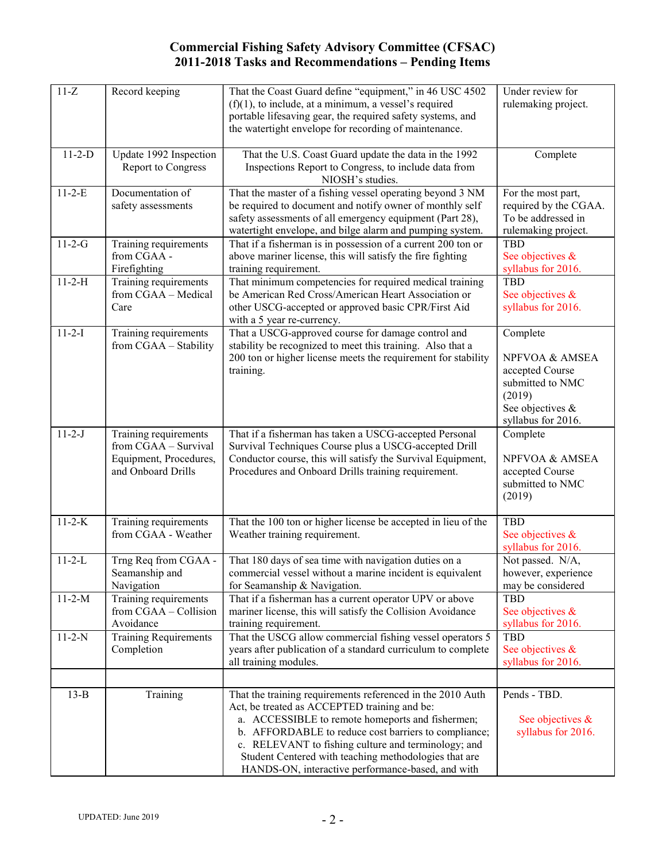| $11-Z$       | Record keeping                                                                                | That the Coast Guard define "equipment," in 46 USC 4502<br>$(f)(1)$ , to include, at a minimum, a vessel's required<br>portable lifesaving gear, the required safety systems, and<br>the watertight envelope for recording of maintenance.                                                                                                                                                  | Under review for<br>rulemaking project.                                                                               |
|--------------|-----------------------------------------------------------------------------------------------|---------------------------------------------------------------------------------------------------------------------------------------------------------------------------------------------------------------------------------------------------------------------------------------------------------------------------------------------------------------------------------------------|-----------------------------------------------------------------------------------------------------------------------|
| $11-2-D$     | Update 1992 Inspection<br>Report to Congress                                                  | That the U.S. Coast Guard update the data in the 1992<br>Inspections Report to Congress, to include data from<br>NIOSH's studies.                                                                                                                                                                                                                                                           | Complete                                                                                                              |
| $11 - 2 - E$ | Documentation of<br>safety assessments                                                        | That the master of a fishing vessel operating beyond 3 NM<br>be required to document and notify owner of monthly self<br>safety assessments of all emergency equipment (Part 28),<br>watertight envelope, and bilge alarm and pumping system.                                                                                                                                               | For the most part,<br>required by the CGAA.<br>To be addressed in<br>rulemaking project.                              |
| $11-2-G$     | Training requirements<br>from CGAA -<br>Firefighting                                          | That if a fisherman is in possession of a current 200 ton or<br>above mariner license, this will satisfy the fire fighting<br>training requirement.                                                                                                                                                                                                                                         | <b>TBD</b><br>See objectives &<br>syllabus for 2016.                                                                  |
| $11-2-H$     | Training requirements<br>from CGAA - Medical<br>Care                                          | That minimum competencies for required medical training<br>be American Red Cross/American Heart Association or<br>other USCG-accepted or approved basic CPR/First Aid<br>with a 5 year re-currency.                                                                                                                                                                                         | <b>TBD</b><br>See objectives &<br>syllabus for 2016.                                                                  |
| $11-2-I$     | Training requirements<br>from CGAA - Stability                                                | That a USCG-approved course for damage control and<br>stability be recognized to meet this training. Also that a<br>200 ton or higher license meets the requirement for stability<br>training.                                                                                                                                                                                              | Complete<br>NPFVOA & AMSEA<br>accepted Course<br>submitted to NMC<br>(2019)<br>See objectives &<br>syllabus for 2016. |
| $11 - 2 - J$ | Training requirements<br>from CGAA - Survival<br>Equipment, Procedures,<br>and Onboard Drills | That if a fisherman has taken a USCG-accepted Personal<br>Survival Techniques Course plus a USCG-accepted Drill<br>Conductor course, this will satisfy the Survival Equipment,<br>Procedures and Onboard Drills training requirement.                                                                                                                                                       | Complete<br>NPFVOA & AMSEA<br>accepted Course<br>submitted to NMC<br>(2019)                                           |
| $11 - 2 - K$ | Training requirements<br>from CGAA - Weather                                                  | That the 100 ton or higher license be accepted in lieu of the<br>Weather training requirement.                                                                                                                                                                                                                                                                                              | <b>TBD</b><br>See objectives &<br>syllabus for 2016.                                                                  |
| $11 - 2 - L$ | Trng Req from CGAA -<br>Seamanship and<br>Navigation                                          | That 180 days of sea time with navigation duties on a<br>commercial vessel without a marine incident is equivalent<br>for Seamanship & Navigation.                                                                                                                                                                                                                                          | Not passed. N/A,<br>however, experience<br>may be considered                                                          |
| $11-2-M$     | Training requirements<br>from CGAA - Collision<br>Avoidance                                   | That if a fisherman has a current operator UPV or above<br>mariner license, this will satisfy the Collision Avoidance<br>training requirement.                                                                                                                                                                                                                                              | <b>TBD</b><br>See objectives &<br>syllabus for 2016.                                                                  |
| $11 - 2 - N$ | <b>Training Requirements</b><br>Completion                                                    | That the USCG allow commercial fishing vessel operators 5<br>years after publication of a standard curriculum to complete<br>all training modules.                                                                                                                                                                                                                                          | <b>TBD</b><br>See objectives &<br>syllabus for 2016.                                                                  |
| $13-B$       | Training                                                                                      | That the training requirements referenced in the 2010 Auth<br>Act, be treated as ACCEPTED training and be:<br>a. ACCESSIBLE to remote homeports and fishermen;<br>b. AFFORDABLE to reduce cost barriers to compliance;<br>c. RELEVANT to fishing culture and terminology; and<br>Student Centered with teaching methodologies that are<br>HANDS-ON, interactive performance-based, and with | Pends - TBD.<br>See objectives &<br>syllabus for 2016.                                                                |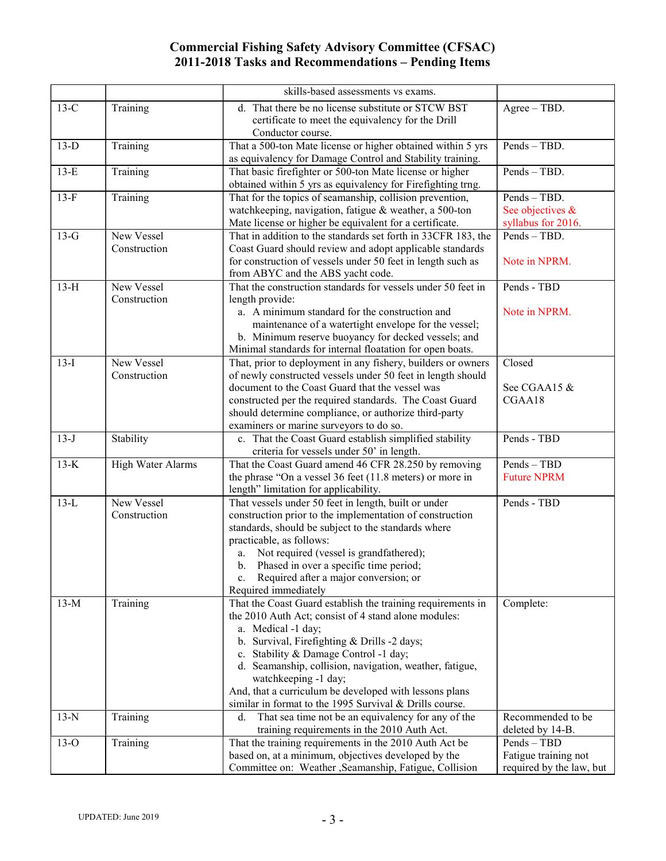|        |                   | skills-based assessments vs exams.                                                                                          |                          |
|--------|-------------------|-----------------------------------------------------------------------------------------------------------------------------|--------------------------|
| $13-C$ | Training          | d. That there be no license substitute or STCW BST                                                                          | $Agree - TBD$ .          |
|        |                   | certificate to meet the equivalency for the Drill                                                                           |                          |
|        |                   | Conductor course.                                                                                                           |                          |
| $13-D$ | Training          | That a 500-ton Mate license or higher obtained within 5 yrs                                                                 | Pends - TBD.             |
|        |                   | as equivalency for Damage Control and Stability training.                                                                   |                          |
| $13-E$ | Training          | That basic firefighter or 500-ton Mate license or higher                                                                    | Pends - TBD.             |
|        |                   | obtained within 5 yrs as equivalency for Firefighting trng.                                                                 |                          |
| $13-F$ | Training          | That for the topics of seamanship, collision prevention,                                                                    | Pends - TBD.             |
|        |                   | watchkeeping, navigation, fatigue & weather, a 500-ton                                                                      | See objectives &         |
|        |                   | Mate license or higher be equivalent for a certificate.                                                                     | syllabus for 2016.       |
| $13-G$ | New Vessel        | That in addition to the standards set forth in 33CFR 183, the                                                               | Pends - TBD.             |
|        | Construction      | Coast Guard should review and adopt applicable standards                                                                    |                          |
|        |                   | for construction of vessels under 50 feet in length such as                                                                 | Note in NPRM.            |
|        |                   | from ABYC and the ABS yacht code.                                                                                           |                          |
| $13-H$ | New Vessel        | That the construction standards for vessels under 50 feet in                                                                | Pends - TBD              |
|        | Construction      | length provide:                                                                                                             |                          |
|        |                   | a. A minimum standard for the construction and                                                                              | Note in NPRM.            |
|        |                   | maintenance of a watertight envelope for the vessel;                                                                        |                          |
|        |                   | b. Minimum reserve buoyancy for decked vessels; and                                                                         |                          |
|        | New Vessel        | Minimal standards for internal floatation for open boats.                                                                   | Closed                   |
| $13-I$ | Construction      | That, prior to deployment in any fishery, builders or owners<br>of newly constructed vessels under 50 feet in length should |                          |
|        |                   | document to the Coast Guard that the vessel was                                                                             | See CGAA15 &             |
|        |                   | constructed per the required standards. The Coast Guard                                                                     | CGAA18                   |
|        |                   | should determine compliance, or authorize third-party                                                                       |                          |
|        |                   | examiners or marine surveyors to do so.                                                                                     |                          |
| $13-J$ | Stability         | c. That the Coast Guard establish simplified stability                                                                      | Pends - TBD              |
|        |                   | criteria for vessels under 50' in length.                                                                                   |                          |
| $13-K$ | High Water Alarms | That the Coast Guard amend 46 CFR 28.250 by removing                                                                        | Pends - TBD              |
|        |                   | the phrase "On a vessel 36 feet (11.8 meters) or more in                                                                    | <b>Future NPRM</b>       |
|        |                   | length" limitation for applicability.                                                                                       |                          |
| $13-L$ | New Vessel        | That vessels under 50 feet in length, built or under                                                                        | Pends - TBD              |
|        | Construction      | construction prior to the implementation of construction                                                                    |                          |
|        |                   | standards, should be subject to the standards where                                                                         |                          |
|        |                   | practicable, as follows:                                                                                                    |                          |
|        |                   | Not required (vessel is grandfathered);<br>a.                                                                               |                          |
|        |                   | Phased in over a specific time period;<br>b.                                                                                |                          |
|        |                   | c. Required after a major conversion; or                                                                                    |                          |
|        |                   | Required immediately                                                                                                        |                          |
| $13-M$ | Training          | That the Coast Guard establish the training requirements in                                                                 | Complete:                |
|        |                   | the 2010 Auth Act; consist of 4 stand alone modules:                                                                        |                          |
|        |                   | a. Medical -1 day;<br>b. Survival, Firefighting & Drills -2 days;                                                           |                          |
|        |                   | c. Stability & Damage Control -1 day;                                                                                       |                          |
|        |                   | d. Seamanship, collision, navigation, weather, fatigue,                                                                     |                          |
|        |                   | watchkeeping -1 day;                                                                                                        |                          |
|        |                   | And, that a curriculum be developed with lessons plans                                                                      |                          |
|        |                   | similar in format to the 1995 Survival & Drills course.                                                                     |                          |
| $13-N$ | Training          | That sea time not be an equivalency for any of the<br>d.                                                                    | Recommended to be        |
|        |                   | training requirements in the 2010 Auth Act.                                                                                 | deleted by 14-B.         |
| $13-O$ | Training          | That the training requirements in the 2010 Auth Act be                                                                      | Pends - TBD              |
|        |                   | based on, at a minimum, objectives developed by the                                                                         | Fatigue training not     |
|        |                   | Committee on: Weather , Seamanship, Fatigue, Collision                                                                      | required by the law, but |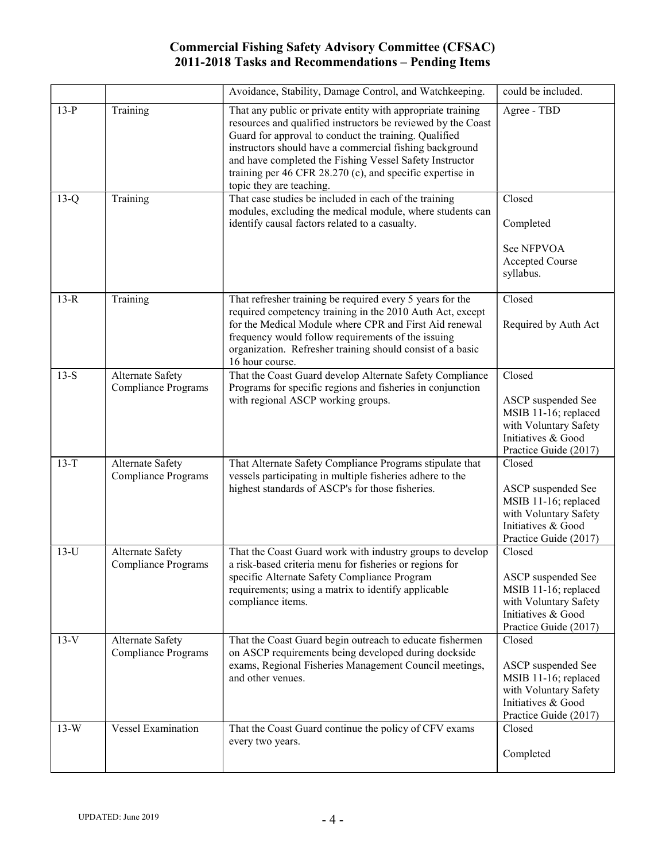|        |                                                | Avoidance, Stability, Damage Control, and Watchkeeping.                                                                                                                                                                                                                                                                                                                                             | could be included.                                                                                                           |
|--------|------------------------------------------------|-----------------------------------------------------------------------------------------------------------------------------------------------------------------------------------------------------------------------------------------------------------------------------------------------------------------------------------------------------------------------------------------------------|------------------------------------------------------------------------------------------------------------------------------|
| $13-P$ | Training                                       | That any public or private entity with appropriate training<br>resources and qualified instructors be reviewed by the Coast<br>Guard for approval to conduct the training. Qualified<br>instructors should have a commercial fishing background<br>and have completed the Fishing Vessel Safety Instructor<br>training per 46 CFR 28.270 (c), and specific expertise in<br>topic they are teaching. | Agree - TBD                                                                                                                  |
| $13-Q$ | Training                                       | That case studies be included in each of the training<br>modules, excluding the medical module, where students can<br>identify causal factors related to a casualty.                                                                                                                                                                                                                                | Closed<br>Completed<br>See NFPVOA<br>Accepted Course<br>syllabus.                                                            |
| $13-R$ | Training                                       | That refresher training be required every 5 years for the<br>required competency training in the 2010 Auth Act, except<br>for the Medical Module where CPR and First Aid renewal<br>frequency would follow requirements of the issuing<br>organization. Refresher training should consist of a basic<br>16 hour course.                                                                             | Closed<br>Required by Auth Act                                                                                               |
| $13-S$ | Alternate Safety<br><b>Compliance Programs</b> | That the Coast Guard develop Alternate Safety Compliance<br>Programs for specific regions and fisheries in conjunction<br>with regional ASCP working groups.                                                                                                                                                                                                                                        | Closed<br>ASCP suspended See<br>MSIB 11-16; replaced<br>with Voluntary Safety<br>Initiatives & Good<br>Practice Guide (2017) |
| $13-T$ | Alternate Safety<br><b>Compliance Programs</b> | That Alternate Safety Compliance Programs stipulate that<br>vessels participating in multiple fisheries adhere to the<br>highest standards of ASCP's for those fisheries.                                                                                                                                                                                                                           | Closed<br>ASCP suspended See<br>MSIB 11-16; replaced<br>with Voluntary Safety<br>Initiatives & Good<br>Practice Guide (2017) |
| $13-U$ | Alternate Safety<br><b>Compliance Programs</b> | That the Coast Guard work with industry groups to develop<br>a risk-based criteria menu for fisheries or regions for<br>specific Alternate Safety Compliance Program<br>requirements; using a matrix to identify applicable<br>compliance items.                                                                                                                                                    | Closed<br>ASCP suspended See<br>MSIB 11-16; replaced<br>with Voluntary Safety<br>Initiatives & Good<br>Practice Guide (2017) |
| $13-V$ | Alternate Safety<br><b>Compliance Programs</b> | That the Coast Guard begin outreach to educate fishermen<br>on ASCP requirements being developed during dockside<br>exams, Regional Fisheries Management Council meetings,<br>and other venues.                                                                                                                                                                                                     | Closed<br>ASCP suspended See<br>MSIB 11-16; replaced<br>with Voluntary Safety<br>Initiatives & Good<br>Practice Guide (2017) |
| $13-W$ | <b>Vessel Examination</b>                      | That the Coast Guard continue the policy of CFV exams<br>every two years.                                                                                                                                                                                                                                                                                                                           | Closed<br>Completed                                                                                                          |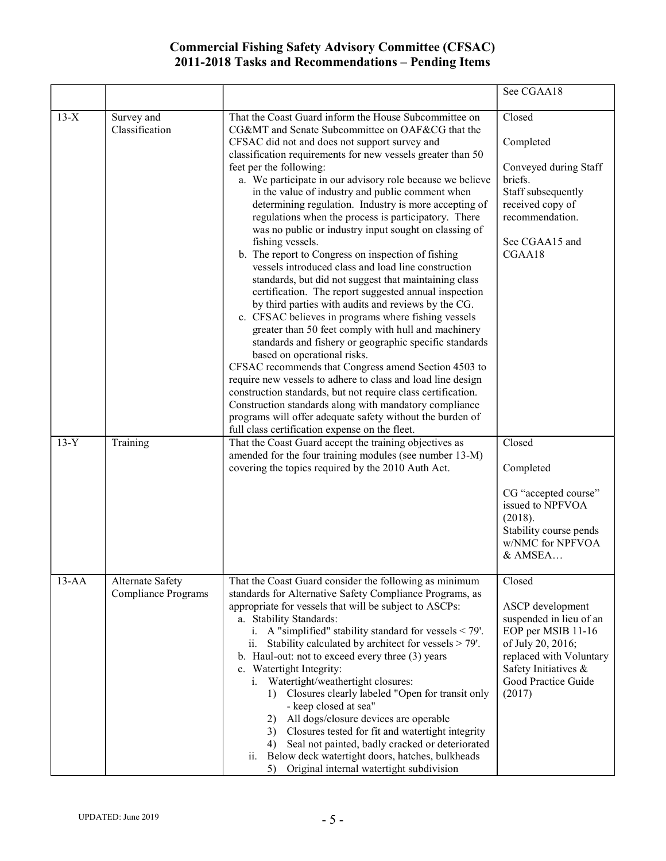|         |                                                |                                                                                                                                                                                                                                                                                                                                                                                                                                                                                                                                                                                                                                                                                                                                                                                                                                                                                                                                                                                                                                                                                                                                                                                                                                                                                                                                                                                                                                  | See CGAA18                                                                                                                                                                           |
|---------|------------------------------------------------|----------------------------------------------------------------------------------------------------------------------------------------------------------------------------------------------------------------------------------------------------------------------------------------------------------------------------------------------------------------------------------------------------------------------------------------------------------------------------------------------------------------------------------------------------------------------------------------------------------------------------------------------------------------------------------------------------------------------------------------------------------------------------------------------------------------------------------------------------------------------------------------------------------------------------------------------------------------------------------------------------------------------------------------------------------------------------------------------------------------------------------------------------------------------------------------------------------------------------------------------------------------------------------------------------------------------------------------------------------------------------------------------------------------------------------|--------------------------------------------------------------------------------------------------------------------------------------------------------------------------------------|
| $13-X$  | Survey and<br>Classification                   | That the Coast Guard inform the House Subcommittee on<br>CG&MT and Senate Subcommittee on OAF&CG that the<br>CFSAC did not and does not support survey and<br>classification requirements for new vessels greater than 50<br>feet per the following:<br>a. We participate in our advisory role because we believe<br>in the value of industry and public comment when<br>determining regulation. Industry is more accepting of<br>regulations when the process is participatory. There<br>was no public or industry input sought on classing of<br>fishing vessels.<br>b. The report to Congress on inspection of fishing<br>vessels introduced class and load line construction<br>standards, but did not suggest that maintaining class<br>certification. The report suggested annual inspection<br>by third parties with audits and reviews by the CG.<br>c. CFSAC believes in programs where fishing vessels<br>greater than 50 feet comply with hull and machinery<br>standards and fishery or geographic specific standards<br>based on operational risks.<br>CFSAC recommends that Congress amend Section 4503 to<br>require new vessels to adhere to class and load line design<br>construction standards, but not require class certification.<br>Construction standards along with mandatory compliance<br>programs will offer adequate safety without the burden of<br>full class certification expense on the fleet. | Closed<br>Completed<br>Conveyed during Staff<br>briefs.<br>Staff subsequently<br>received copy of<br>recommendation.<br>See CGAA15 and<br>CGAA18                                     |
| $13-Y$  | Training                                       | That the Coast Guard accept the training objectives as<br>amended for the four training modules (see number 13-M)<br>covering the topics required by the 2010 Auth Act.                                                                                                                                                                                                                                                                                                                                                                                                                                                                                                                                                                                                                                                                                                                                                                                                                                                                                                                                                                                                                                                                                                                                                                                                                                                          | Closed<br>Completed<br>CG "accepted course"<br>issued to NPFVOA<br>(2018).<br>Stability course pends<br>w/NMC for NPFVOA<br>& AMSEA                                                  |
| $13-AA$ | Alternate Safety<br><b>Compliance Programs</b> | That the Coast Guard consider the following as minimum<br>standards for Alternative Safety Compliance Programs, as<br>appropriate for vessels that will be subject to ASCPs:<br>a. Stability Standards:<br>i. A "simplified" stability standard for vessels $\le$ 79'.<br>Stability calculated by architect for vessels > 79'.<br>ii.<br>b. Haul-out: not to exceed every three (3) years<br>c. Watertight Integrity:<br>i. Watertight/weathertight closures:<br>1) Closures clearly labeled "Open for transit only<br>- keep closed at sea"<br>All dogs/closure devices are operable<br>2)<br>Closures tested for fit and watertight integrity<br>3)<br>Seal not painted, badly cracked or deteriorated<br>4)<br>Below deck watertight doors, hatches, bulkheads<br>ii.<br>Original internal watertight subdivision<br>5)                                                                                                                                                                                                                                                                                                                                                                                                                                                                                                                                                                                                       | Closed<br>ASCP development<br>suspended in lieu of an<br>EOP per MSIB 11-16<br>of July 20, 2016;<br>replaced with Voluntary<br>Safety Initiatives &<br>Good Practice Guide<br>(2017) |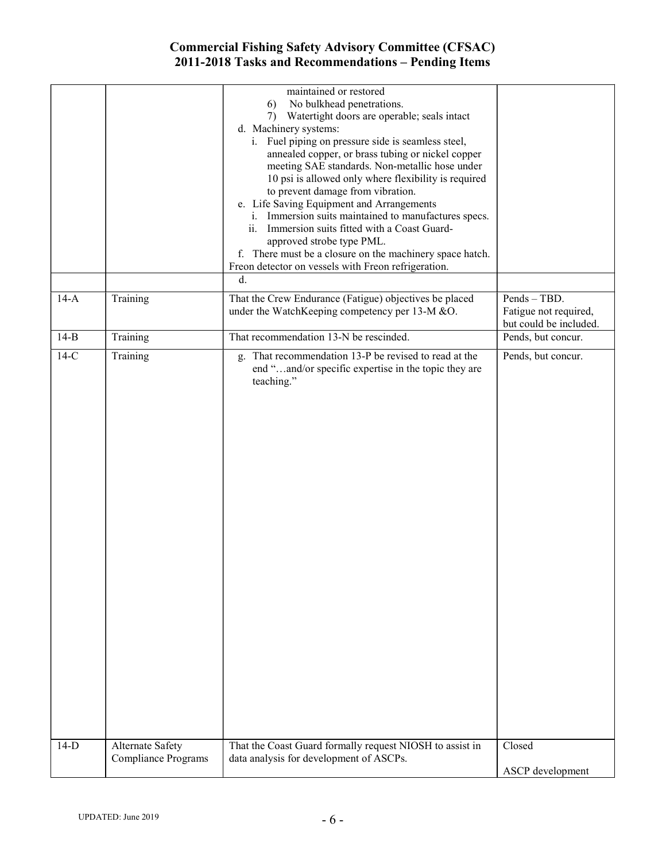|        |                            | maintained or restored<br>No bulkhead penetrations.<br>6)<br>7) Watertight doors are operable; seals intact<br>d. Machinery systems:<br>i. Fuel piping on pressure side is seamless steel,<br>annealed copper, or brass tubing or nickel copper<br>meeting SAE standards. Non-metallic hose under<br>10 psi is allowed only where flexibility is required<br>to prevent damage from vibration.<br>e. Life Saving Equipment and Arrangements<br>i. Immersion suits maintained to manufactures specs.<br>ii. Immersion suits fitted with a Coast Guard-<br>approved strobe type PML.<br>f. There must be a closure on the machinery space hatch.<br>Freon detector on vessels with Freon refrigeration.<br>d. |                                                                 |
|--------|----------------------------|-------------------------------------------------------------------------------------------------------------------------------------------------------------------------------------------------------------------------------------------------------------------------------------------------------------------------------------------------------------------------------------------------------------------------------------------------------------------------------------------------------------------------------------------------------------------------------------------------------------------------------------------------------------------------------------------------------------|-----------------------------------------------------------------|
| $14-A$ | Training                   | That the Crew Endurance (Fatigue) objectives be placed<br>under the WatchKeeping competency per 13-M &O.                                                                                                                                                                                                                                                                                                                                                                                                                                                                                                                                                                                                    | Pends - TBD.<br>Fatigue not required,<br>but could be included. |
| $14-B$ | Training                   | That recommendation 13-N be rescinded.                                                                                                                                                                                                                                                                                                                                                                                                                                                                                                                                                                                                                                                                      | Pends, but concur.                                              |
| $14-C$ | Training                   | g. That recommendation 13-P be revised to read at the<br>end "and/or specific expertise in the topic they are<br>teaching."                                                                                                                                                                                                                                                                                                                                                                                                                                                                                                                                                                                 | Pends, but concur.                                              |
| $14-D$ | Alternate Safety           | That the Coast Guard formally request NIOSH to assist in                                                                                                                                                                                                                                                                                                                                                                                                                                                                                                                                                                                                                                                    | Closed                                                          |
|        | <b>Compliance Programs</b> | data analysis for development of ASCPs.                                                                                                                                                                                                                                                                                                                                                                                                                                                                                                                                                                                                                                                                     | ASCP development                                                |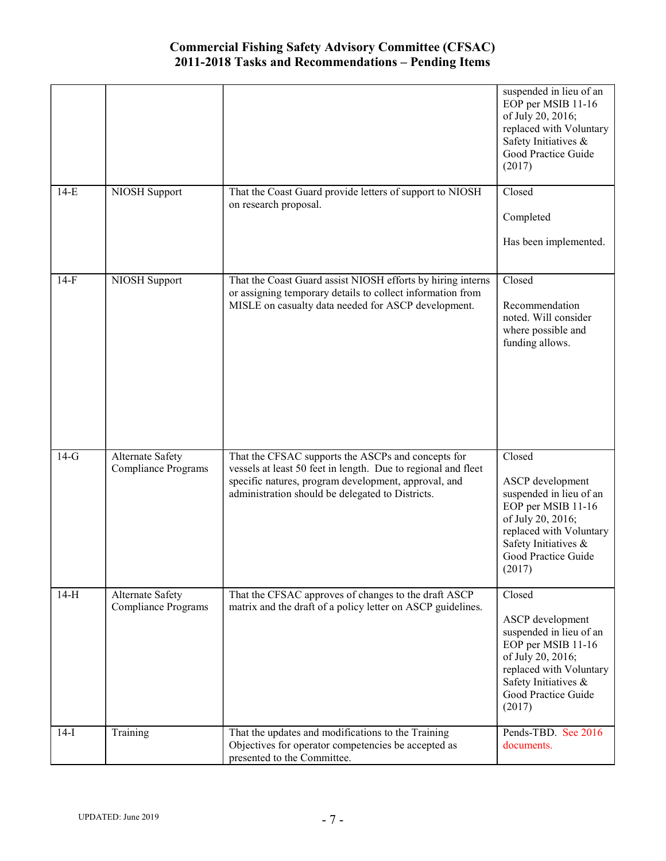|        |                                                |                                                                                                                                                                                                                                 | suspended in lieu of an<br>EOP per MSIB 11-16<br>of July 20, 2016;<br>replaced with Voluntary<br>Safety Initiatives &<br>Good Practice Guide<br>(2017)                               |
|--------|------------------------------------------------|---------------------------------------------------------------------------------------------------------------------------------------------------------------------------------------------------------------------------------|--------------------------------------------------------------------------------------------------------------------------------------------------------------------------------------|
| $14-E$ | NIOSH Support                                  | That the Coast Guard provide letters of support to NIOSH<br>on research proposal.                                                                                                                                               | Closed<br>Completed<br>Has been implemented.                                                                                                                                         |
|        |                                                |                                                                                                                                                                                                                                 |                                                                                                                                                                                      |
| $14-F$ | NIOSH Support                                  | That the Coast Guard assist NIOSH efforts by hiring interns<br>or assigning temporary details to collect information from<br>MISLE on casualty data needed for ASCP development.                                                | Closed<br>Recommendation<br>noted. Will consider<br>where possible and<br>funding allows.                                                                                            |
| $14-G$ | Alternate Safety<br>Compliance Programs        | That the CFSAC supports the ASCPs and concepts for<br>vessels at least 50 feet in length. Due to regional and fleet<br>specific natures, program development, approval, and<br>administration should be delegated to Districts. | Closed<br>ASCP development<br>suspended in lieu of an<br>EOP per MSIB 11-16<br>of July 20, 2016;<br>replaced with Voluntary<br>Safety Initiatives &<br>Good Practice Guide<br>(2017) |
| $14-H$ | Alternate Safety<br><b>Compliance Programs</b> | That the CFSAC approves of changes to the draft ASCP<br>matrix and the draft of a policy letter on ASCP guidelines.                                                                                                             | Closed<br>ASCP development<br>suspended in lieu of an<br>EOP per MSIB 11-16<br>of July 20, 2016;<br>replaced with Voluntary<br>Safety Initiatives &<br>Good Practice Guide<br>(2017) |
| $14-I$ | Training                                       | That the updates and modifications to the Training<br>Objectives for operator competencies be accepted as<br>presented to the Committee.                                                                                        | Pends-TBD. See 2016<br>documents.                                                                                                                                                    |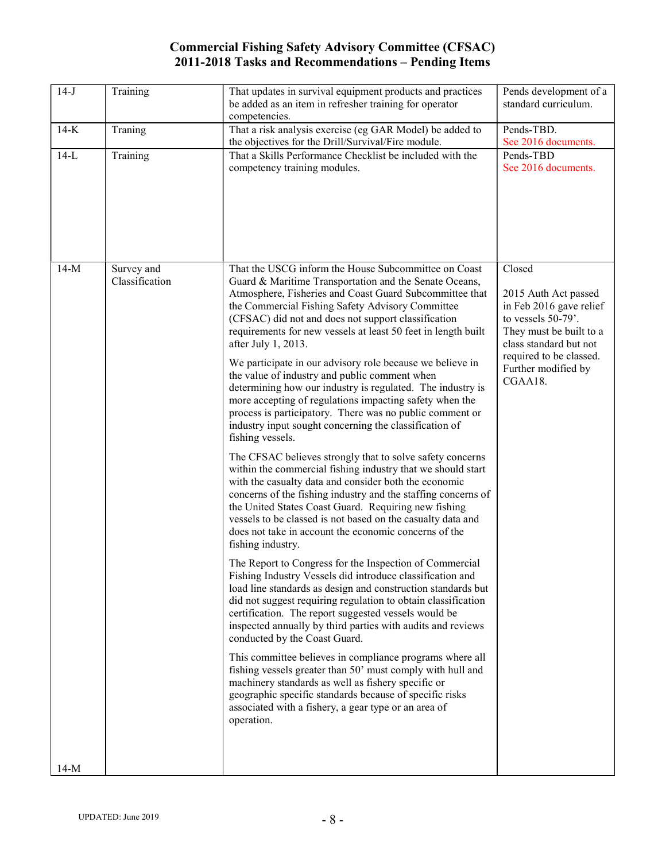| $14-J$ | Training                     | That updates in survival equipment products and practices<br>be added as an item in refresher training for operator<br>competencies.                                                                                                                                                                                                                                                                                                                                                                                                                                                                                                                                                                                                                                                                                                                                                                                                                                                                                                                                                                                                                                                                                                                                                                                                                                                                                                                                                                                                                                                                                                                                                                                                                                                                                                                                                                                                                       | Pends development of a<br>standard curriculum.                                                                                                                                                    |
|--------|------------------------------|------------------------------------------------------------------------------------------------------------------------------------------------------------------------------------------------------------------------------------------------------------------------------------------------------------------------------------------------------------------------------------------------------------------------------------------------------------------------------------------------------------------------------------------------------------------------------------------------------------------------------------------------------------------------------------------------------------------------------------------------------------------------------------------------------------------------------------------------------------------------------------------------------------------------------------------------------------------------------------------------------------------------------------------------------------------------------------------------------------------------------------------------------------------------------------------------------------------------------------------------------------------------------------------------------------------------------------------------------------------------------------------------------------------------------------------------------------------------------------------------------------------------------------------------------------------------------------------------------------------------------------------------------------------------------------------------------------------------------------------------------------------------------------------------------------------------------------------------------------------------------------------------------------------------------------------------------------|---------------------------------------------------------------------------------------------------------------------------------------------------------------------------------------------------|
| $14-K$ | Traning                      | That a risk analysis exercise (eg GAR Model) be added to<br>the objectives for the Drill/Survival/Fire module.                                                                                                                                                                                                                                                                                                                                                                                                                                                                                                                                                                                                                                                                                                                                                                                                                                                                                                                                                                                                                                                                                                                                                                                                                                                                                                                                                                                                                                                                                                                                                                                                                                                                                                                                                                                                                                             | Pends-TBD.<br>See 2016 documents.                                                                                                                                                                 |
| $14-L$ | Training                     | That a Skills Performance Checklist be included with the<br>competency training modules.                                                                                                                                                                                                                                                                                                                                                                                                                                                                                                                                                                                                                                                                                                                                                                                                                                                                                                                                                                                                                                                                                                                                                                                                                                                                                                                                                                                                                                                                                                                                                                                                                                                                                                                                                                                                                                                                   | Pends-TBD<br>See 2016 documents.                                                                                                                                                                  |
| $14-M$ | Survey and<br>Classification | That the USCG inform the House Subcommittee on Coast<br>Guard & Maritime Transportation and the Senate Oceans,<br>Atmosphere, Fisheries and Coast Guard Subcommittee that<br>the Commercial Fishing Safety Advisory Committee<br>(CFSAC) did not and does not support classification<br>requirements for new vessels at least 50 feet in length built<br>after July 1, 2013.<br>We participate in our advisory role because we believe in<br>the value of industry and public comment when<br>determining how our industry is regulated. The industry is<br>more accepting of regulations impacting safety when the<br>process is participatory. There was no public comment or<br>industry input sought concerning the classification of<br>fishing vessels.<br>The CFSAC believes strongly that to solve safety concerns<br>within the commercial fishing industry that we should start<br>with the casualty data and consider both the economic<br>concerns of the fishing industry and the staffing concerns of<br>the United States Coast Guard. Requiring new fishing<br>vessels to be classed is not based on the casualty data and<br>does not take in account the economic concerns of the<br>fishing industry.<br>The Report to Congress for the Inspection of Commercial<br>Fishing Industry Vessels did introduce classification and<br>load line standards as design and construction standards but<br>did not suggest requiring regulation to obtain classification<br>certification. The report suggested vessels would be<br>inspected annually by third parties with audits and reviews<br>conducted by the Coast Guard.<br>This committee believes in compliance programs where all<br>fishing vessels greater than 50' must comply with hull and<br>machinery standards as well as fishery specific or<br>geographic specific standards because of specific risks<br>associated with a fishery, a gear type or an area of<br>operation. | Closed<br>2015 Auth Act passed<br>in Feb 2016 gave relief<br>to vessels 50-79'.<br>They must be built to a<br>class standard but not<br>required to be classed.<br>Further modified by<br>CGAA18. |
| $14-M$ |                              |                                                                                                                                                                                                                                                                                                                                                                                                                                                                                                                                                                                                                                                                                                                                                                                                                                                                                                                                                                                                                                                                                                                                                                                                                                                                                                                                                                                                                                                                                                                                                                                                                                                                                                                                                                                                                                                                                                                                                            |                                                                                                                                                                                                   |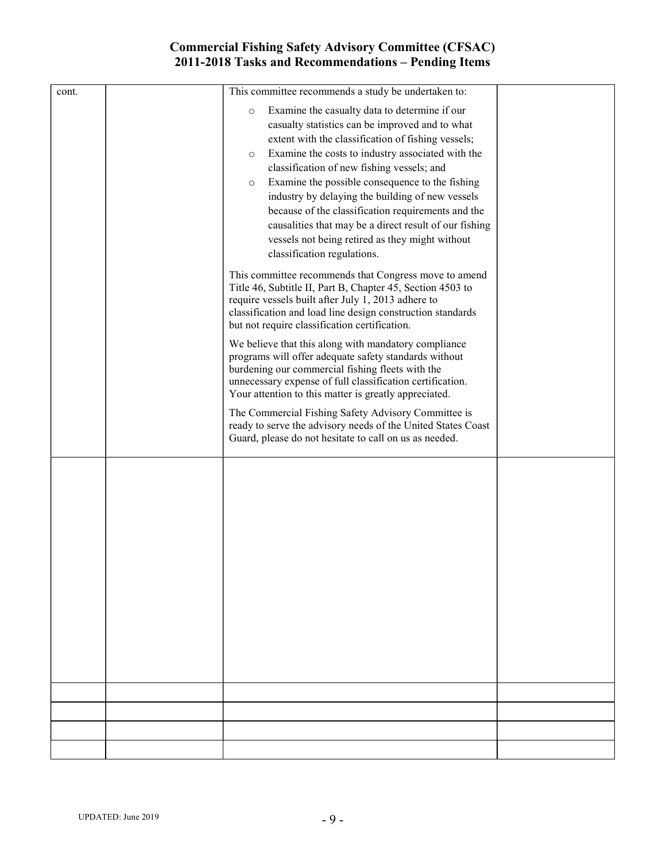| cont. | This committee recommends a study be undertaken to:<br>Examine the casualty data to determine if our<br>$\circ$<br>casualty statistics can be improved and to what<br>extent with the classification of fishing vessels;<br>Examine the costs to industry associated with the<br>$\circ$<br>classification of new fishing vessels; and<br>Examine the possible consequence to the fishing<br>$\circ$<br>industry by delaying the building of new vessels<br>because of the classification requirements and the<br>causalities that may be a direct result of our fishing<br>vessels not being retired as they might without<br>classification regulations.<br>This committee recommends that Congress move to amend<br>Title 46, Subtitle II, Part B, Chapter 45, Section 4503 to<br>require vessels built after July 1, 2013 adhere to<br>classification and load line design construction standards<br>but not require classification certification.<br>We believe that this along with mandatory compliance<br>programs will offer adequate safety standards without<br>burdening our commercial fishing fleets with the<br>unnecessary expense of full classification certification.<br>Your attention to this matter is greatly appreciated.<br>The Commercial Fishing Safety Advisory Committee is<br>ready to serve the advisory needs of the United States Coast<br>Guard, please do not hesitate to call on us as needed. |  |
|-------|------------------------------------------------------------------------------------------------------------------------------------------------------------------------------------------------------------------------------------------------------------------------------------------------------------------------------------------------------------------------------------------------------------------------------------------------------------------------------------------------------------------------------------------------------------------------------------------------------------------------------------------------------------------------------------------------------------------------------------------------------------------------------------------------------------------------------------------------------------------------------------------------------------------------------------------------------------------------------------------------------------------------------------------------------------------------------------------------------------------------------------------------------------------------------------------------------------------------------------------------------------------------------------------------------------------------------------------------------------------------------------------------------------------------------------|--|
|       |                                                                                                                                                                                                                                                                                                                                                                                                                                                                                                                                                                                                                                                                                                                                                                                                                                                                                                                                                                                                                                                                                                                                                                                                                                                                                                                                                                                                                                    |  |
|       |                                                                                                                                                                                                                                                                                                                                                                                                                                                                                                                                                                                                                                                                                                                                                                                                                                                                                                                                                                                                                                                                                                                                                                                                                                                                                                                                                                                                                                    |  |
|       |                                                                                                                                                                                                                                                                                                                                                                                                                                                                                                                                                                                                                                                                                                                                                                                                                                                                                                                                                                                                                                                                                                                                                                                                                                                                                                                                                                                                                                    |  |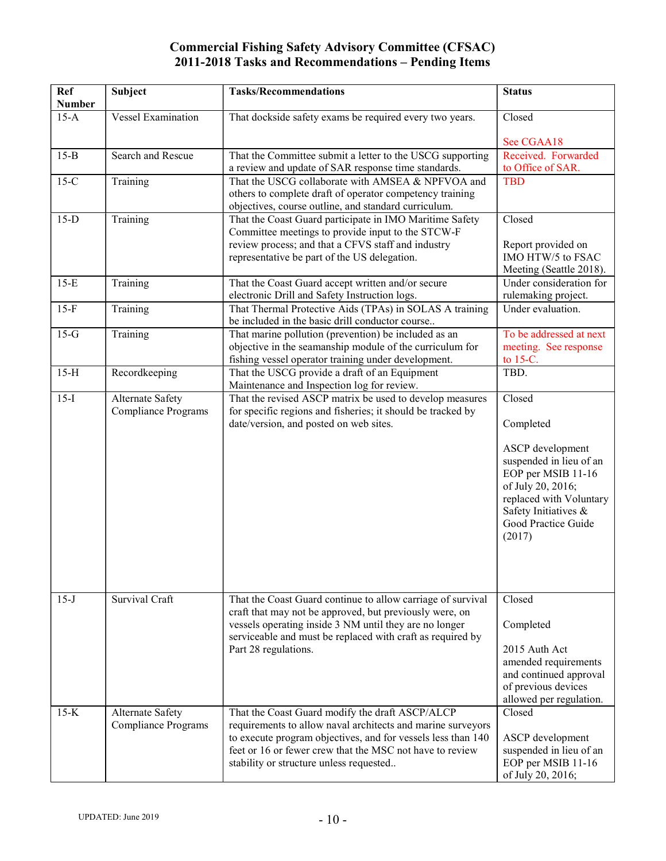| Ref<br><b>Number</b> | Subject                                        | <b>Tasks/Recommendations</b>                                                                                                                                                                                                                                                          | <b>Status</b>                                                                                                                                                                                     |
|----------------------|------------------------------------------------|---------------------------------------------------------------------------------------------------------------------------------------------------------------------------------------------------------------------------------------------------------------------------------------|---------------------------------------------------------------------------------------------------------------------------------------------------------------------------------------------------|
| $15-A$               | <b>Vessel Examination</b>                      | That dockside safety exams be required every two years.                                                                                                                                                                                                                               | Closed                                                                                                                                                                                            |
| $15-B$               | Search and Rescue                              |                                                                                                                                                                                                                                                                                       | See CGAA18<br>Received. Forwarded                                                                                                                                                                 |
|                      |                                                | That the Committee submit a letter to the USCG supporting<br>a review and update of SAR response time standards.                                                                                                                                                                      | to Office of SAR.                                                                                                                                                                                 |
| $15-C$               | Training                                       | That the USCG collaborate with AMSEA & NPFVOA and<br>others to complete draft of operator competency training                                                                                                                                                                         | <b>TBD</b>                                                                                                                                                                                        |
| $15-D$               | Training                                       | objectives, course outline, and standard curriculum.<br>That the Coast Guard participate in IMO Maritime Safety<br>Committee meetings to provide input to the STCW-F<br>review process; and that a CFVS staff and industry                                                            | Closed<br>Report provided on                                                                                                                                                                      |
|                      |                                                | representative be part of the US delegation.                                                                                                                                                                                                                                          | IMO HTW/5 to FSAC<br>Meeting (Seattle 2018).                                                                                                                                                      |
| $15-E$               | Training                                       | That the Coast Guard accept written and/or secure<br>electronic Drill and Safety Instruction logs.                                                                                                                                                                                    | Under consideration for<br>rulemaking project.                                                                                                                                                    |
| $15-F$               | Training                                       | That Thermal Protective Aids (TPAs) in SOLAS A training<br>be included in the basic drill conductor course                                                                                                                                                                            | Under evaluation.                                                                                                                                                                                 |
| $15-G$               | Training                                       | That marine pollution (prevention) be included as an<br>objective in the seamanship module of the curriculum for<br>fishing vessel operator training under development.                                                                                                               | To be addressed at next<br>meeting. See response<br>to 15-C.                                                                                                                                      |
| $15-H$               | Recordkeeping                                  | That the USCG provide a draft of an Equipment<br>Maintenance and Inspection log for review.                                                                                                                                                                                           | TBD.                                                                                                                                                                                              |
| $15-I$               | Alternate Safety<br><b>Compliance Programs</b> | That the revised ASCP matrix be used to develop measures<br>for specific regions and fisheries; it should be tracked by<br>date/version, and posted on web sites.                                                                                                                     | Closed<br>Completed<br>ASCP development<br>suspended in lieu of an<br>EOP per MSIB 11-16<br>of July 20, 2016;<br>replaced with Voluntary<br>Safety Initiatives &<br>Good Practice Guide<br>(2017) |
| $15-J$               | Survival Craft                                 | That the Coast Guard continue to allow carriage of survival<br>craft that may not be approved, but previously were, on<br>vessels operating inside 3 NM until they are no longer<br>serviceable and must be replaced with craft as required by<br>Part 28 regulations.                | Closed<br>Completed<br>2015 Auth Act<br>amended requirements<br>and continued approval<br>of previous devices<br>allowed per regulation.                                                          |
| $15-K$               | Alternate Safety<br><b>Compliance Programs</b> | That the Coast Guard modify the draft ASCP/ALCP<br>requirements to allow naval architects and marine surveyors<br>to execute program objectives, and for vessels less than 140<br>feet or 16 or fewer crew that the MSC not have to review<br>stability or structure unless requested | Closed<br>ASCP development<br>suspended in lieu of an<br>EOP per MSIB 11-16<br>of July 20, 2016;                                                                                                  |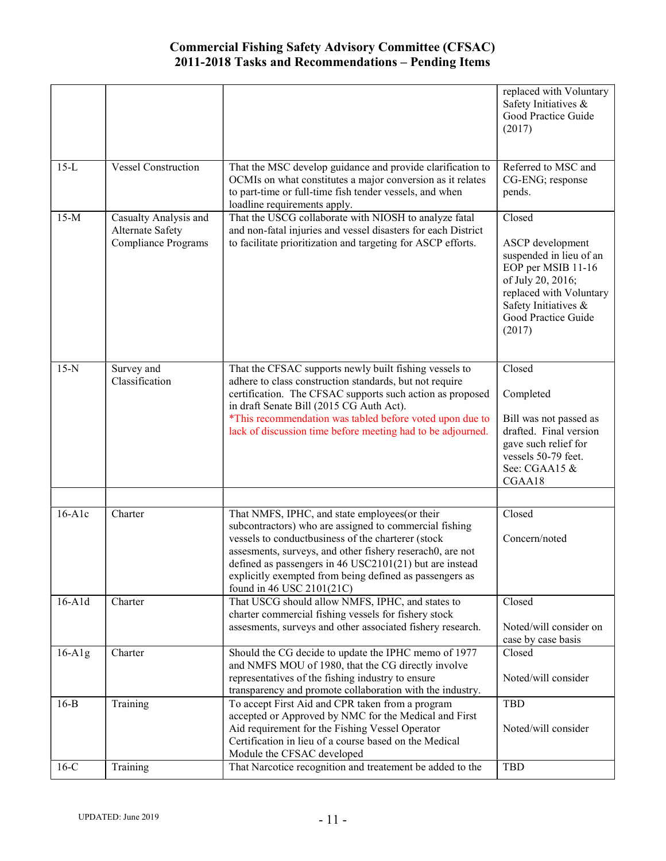|              |                                                                         |                                                                                                                                                                                                                                                                                                                                                                                    | replaced with Voluntary<br>Safety Initiatives &<br>Good Practice Guide<br>(2017)                                                                                                     |
|--------------|-------------------------------------------------------------------------|------------------------------------------------------------------------------------------------------------------------------------------------------------------------------------------------------------------------------------------------------------------------------------------------------------------------------------------------------------------------------------|--------------------------------------------------------------------------------------------------------------------------------------------------------------------------------------|
| $15-L$       | <b>Vessel Construction</b>                                              | That the MSC develop guidance and provide clarification to<br>OCMIs on what constitutes a major conversion as it relates<br>to part-time or full-time fish tender vessels, and when<br>loadline requirements apply.                                                                                                                                                                | Referred to MSC and<br>CG-ENG; response<br>pends.                                                                                                                                    |
| $15-M$       | Casualty Analysis and<br>Alternate Safety<br><b>Compliance Programs</b> | That the USCG collaborate with NIOSH to analyze fatal<br>and non-fatal injuries and vessel disasters for each District<br>to facilitate prioritization and targeting for ASCP efforts.                                                                                                                                                                                             | Closed<br>ASCP development<br>suspended in lieu of an<br>EOP per MSIB 11-16<br>of July 20, 2016;<br>replaced with Voluntary<br>Safety Initiatives &<br>Good Practice Guide<br>(2017) |
| $15-N$       | Survey and<br>Classification                                            | That the CFSAC supports newly built fishing vessels to<br>adhere to class construction standards, but not require<br>certification. The CFSAC supports such action as proposed<br>in draft Senate Bill (2015 CG Auth Act).<br>*This recommendation was tabled before voted upon due to<br>lack of discussion time before meeting had to be adjourned.                              | Closed<br>Completed<br>Bill was not passed as<br>drafted. Final version<br>gave such relief for<br>vessels 50-79 feet.<br>See: CGAA15 &<br>CGAA18                                    |
| $16-A1c$     | Charter                                                                 | That NMFS, IPHC, and state employees(or their<br>subcontractors) who are assigned to commercial fishing<br>vessels to conductbusiness of the charterer (stock<br>assesments, surveys, and other fishery reserach0, are not<br>defined as passengers in $46$ USC $2101(21)$ but are instead<br>explicitly exempted from being defined as passengers as<br>found in 46 USC 2101(21C) | Closed<br>Concern/noted                                                                                                                                                              |
| $16-$ A $1d$ | Charter                                                                 | That USCG should allow NMFS, IPHC, and states to<br>charter commercial fishing vessels for fishery stock<br>assesments, surveys and other associated fishery research.                                                                                                                                                                                                             | Closed<br>Noted/will consider on<br>case by case basis                                                                                                                               |
| $16-A1g$     | Charter                                                                 | Should the CG decide to update the IPHC memo of 1977<br>and NMFS MOU of 1980, that the CG directly involve<br>representatives of the fishing industry to ensure<br>transparency and promote collaboration with the industry.                                                                                                                                                       | Closed<br>Noted/will consider                                                                                                                                                        |
| $16-B$       | Training                                                                | To accept First Aid and CPR taken from a program<br>accepted or Approved by NMC for the Medical and First<br>Aid requirement for the Fishing Vessel Operator<br>Certification in lieu of a course based on the Medical<br>Module the CFSAC developed                                                                                                                               | <b>TBD</b><br>Noted/will consider                                                                                                                                                    |
| $16-C$       | Training                                                                | That Narcotice recognition and treatement be added to the                                                                                                                                                                                                                                                                                                                          | <b>TBD</b>                                                                                                                                                                           |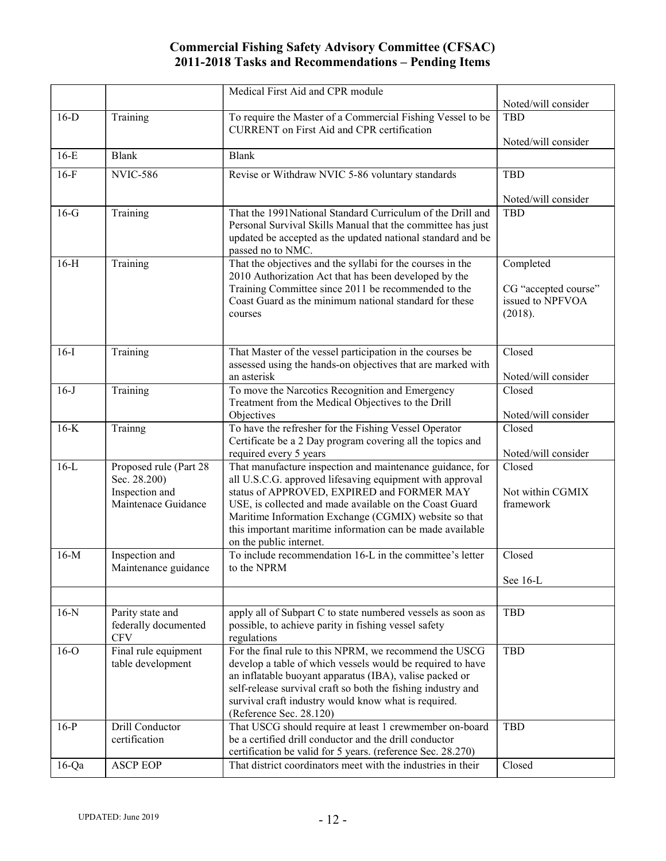|          |                                           | Medical First Aid and CPR module                                                                                           |                               |
|----------|-------------------------------------------|----------------------------------------------------------------------------------------------------------------------------|-------------------------------|
|          |                                           |                                                                                                                            | Noted/will consider           |
| $16-D$   | Training                                  | To require the Master of a Commercial Fishing Vessel to be<br><b>CURRENT</b> on First Aid and CPR certification            | <b>TBD</b>                    |
|          |                                           |                                                                                                                            | Noted/will consider           |
| $16-E$   | <b>Blank</b>                              | <b>Blank</b>                                                                                                               |                               |
| $16-F$   | <b>NVIC-586</b>                           | Revise or Withdraw NVIC 5-86 voluntary standards                                                                           | <b>TBD</b>                    |
|          |                                           |                                                                                                                            | Noted/will consider           |
| $16-G$   | Training                                  | That the 1991National Standard Curriculum of the Drill and                                                                 | <b>TBD</b>                    |
|          |                                           | Personal Survival Skills Manual that the committee has just<br>updated be accepted as the updated national standard and be |                               |
|          |                                           | passed no to NMC.                                                                                                          |                               |
| $16-H$   | Training                                  | That the objectives and the syllabi for the courses in the                                                                 | Completed                     |
|          |                                           | 2010 Authorization Act that has been developed by the                                                                      |                               |
|          |                                           | Training Committee since 2011 be recommended to the                                                                        | CG "accepted course"          |
|          |                                           | Coast Guard as the minimum national standard for these<br>courses                                                          | issued to NPFVOA<br>(2018).   |
|          |                                           |                                                                                                                            |                               |
|          |                                           |                                                                                                                            |                               |
| $16-I$   | Training                                  | That Master of the vessel participation in the courses be                                                                  | Closed                        |
|          |                                           | assessed using the hands-on objectives that are marked with<br>an asterisk                                                 | Noted/will consider           |
| $16-J$   | Training                                  | To move the Narcotics Recognition and Emergency                                                                            | Closed                        |
|          |                                           | Treatment from the Medical Objectives to the Drill                                                                         |                               |
|          |                                           | Objectives                                                                                                                 | Noted/will consider           |
| $16-K$   | Trainng                                   | To have the refresher for the Fishing Vessel Operator                                                                      | Closed                        |
|          |                                           | Certificate be a 2 Day program covering all the topics and                                                                 |                               |
| $16-L$   | Proposed rule (Part 28                    | required every 5 years<br>That manufacture inspection and maintenance guidance, for                                        | Noted/will consider<br>Closed |
|          | Sec. 28.200)                              | all U.S.C.G. approved lifesaving equipment with approval                                                                   |                               |
|          | Inspection and                            | status of APPROVED, EXPIRED and FORMER MAY                                                                                 | Not within CGMIX              |
|          | Maintenace Guidance                       | USE, is collected and made available on the Coast Guard                                                                    | framework                     |
|          |                                           | Maritime Information Exchange (CGMIX) website so that                                                                      |                               |
|          |                                           | this important maritime information can be made available                                                                  |                               |
| $16-M$   | Inspection and                            | on the public internet.<br>To include recommendation 16-L in the committee's letter                                        | Closed                        |
|          | Maintenance guidance                      | to the NPRM                                                                                                                |                               |
|          |                                           |                                                                                                                            | See 16-L                      |
|          |                                           |                                                                                                                            |                               |
| $16-N$   | Parity state and                          | apply all of Subpart C to state numbered vessels as soon as                                                                | <b>TBD</b>                    |
|          | federally documented                      | possible, to achieve parity in fishing vessel safety                                                                       |                               |
|          | <b>CFV</b>                                | regulations                                                                                                                |                               |
| $16-o$   | Final rule equipment<br>table development | For the final rule to this NPRM, we recommend the USCG<br>develop a table of which vessels would be required to have       | <b>TBD</b>                    |
|          |                                           | an inflatable buoyant apparatus (IBA), valise packed or                                                                    |                               |
|          |                                           | self-release survival craft so both the fishing industry and                                                               |                               |
|          |                                           | survival craft industry would know what is required.                                                                       |                               |
|          |                                           | (Reference Sec. 28.120)                                                                                                    |                               |
| $16-P$   | Drill Conductor                           | That USCG should require at least 1 crewmember on-board                                                                    | <b>TBD</b>                    |
|          | certification                             | be a certified drill conductor and the drill conductor<br>certification be valid for 5 years. (reference Sec. 28.270)      |                               |
| $16$ -Qa | <b>ASCP EOP</b>                           | That district coordinators meet with the industries in their                                                               | Closed                        |
|          |                                           |                                                                                                                            |                               |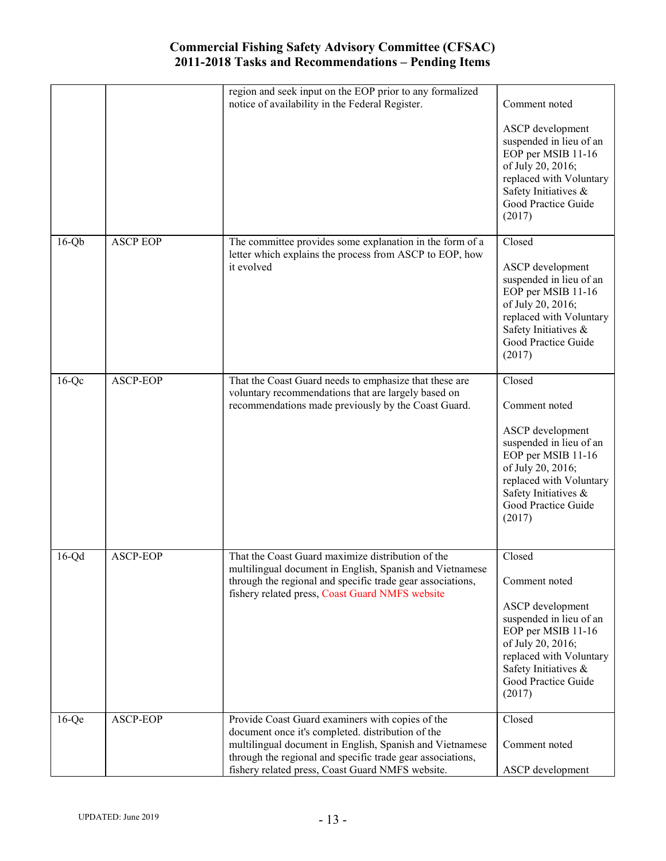|          |                 | region and seek input on the EOP prior to any formalized<br>notice of availability in the Federal Register.                                                               | Comment noted                                                                                                                                                              |
|----------|-----------------|---------------------------------------------------------------------------------------------------------------------------------------------------------------------------|----------------------------------------------------------------------------------------------------------------------------------------------------------------------------|
|          |                 |                                                                                                                                                                           | ASCP development<br>suspended in lieu of an<br>EOP per MSIB 11-16<br>of July 20, 2016;<br>replaced with Voluntary<br>Safety Initiatives &<br>Good Practice Guide<br>(2017) |
| $16-Qb$  | <b>ASCP EOP</b> | The committee provides some explanation in the form of a<br>letter which explains the process from ASCP to EOP, how                                                       | Closed                                                                                                                                                                     |
|          |                 | it evolved                                                                                                                                                                | ASCP development<br>suspended in lieu of an<br>EOP per MSIB 11-16<br>of July 20, 2016;<br>replaced with Voluntary<br>Safety Initiatives &<br>Good Practice Guide<br>(2017) |
| $16-Qc$  | ASCP-EOP        | That the Coast Guard needs to emphasize that these are<br>voluntary recommendations that are largely based on                                                             | Closed                                                                                                                                                                     |
|          |                 | recommendations made previously by the Coast Guard.                                                                                                                       | Comment noted<br>ASCP development                                                                                                                                          |
|          |                 |                                                                                                                                                                           | suspended in lieu of an<br>EOP per MSIB 11-16<br>of July 20, 2016;<br>replaced with Voluntary<br>Safety Initiatives &<br>Good Practice Guide<br>(2017)                     |
| $16-Qd$  | ASCP-EOP        | That the Coast Guard maximize distribution of the                                                                                                                         | Closed                                                                                                                                                                     |
|          |                 | multilingual document in English, Spanish and Vietnamese<br>through the regional and specific trade gear associations,<br>fishery related press, Coast Guard NMFS website | Comment noted                                                                                                                                                              |
|          |                 |                                                                                                                                                                           | ASCP development<br>suspended in lieu of an<br>EOP per MSIB 11-16<br>of July 20, 2016;<br>replaced with Voluntary<br>Safety Initiatives &<br>Good Practice Guide<br>(2017) |
| $16$ -Qe | ASCP-EOP        | Provide Coast Guard examiners with copies of the<br>document once it's completed. distribution of the                                                                     | Closed                                                                                                                                                                     |
|          |                 | multilingual document in English, Spanish and Vietnamese<br>through the regional and specific trade gear associations,                                                    | Comment noted                                                                                                                                                              |
|          |                 | fishery related press, Coast Guard NMFS website.                                                                                                                          | ASCP development                                                                                                                                                           |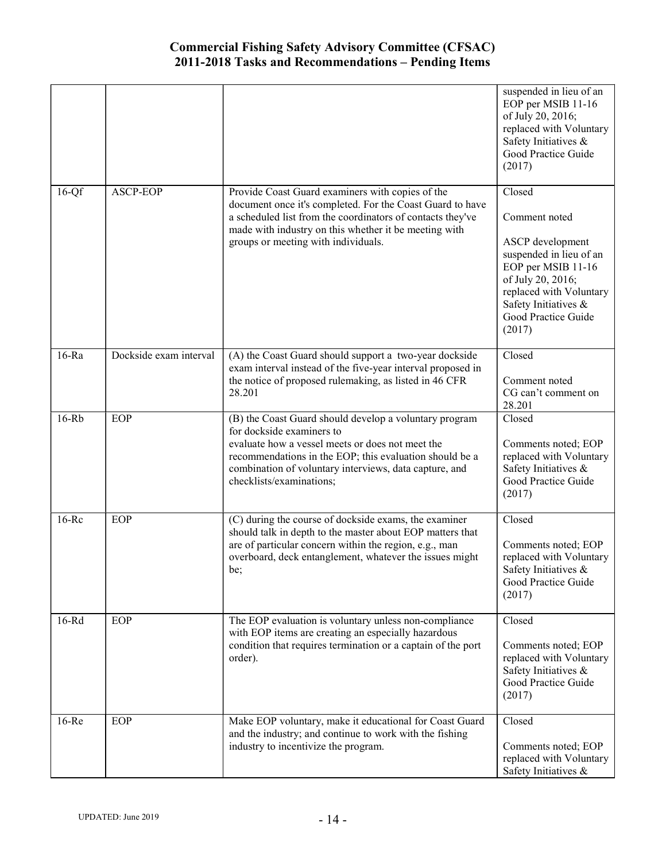|           |                        |                                                                                                                                                                                                                                                                                          | suspended in lieu of an<br>EOP per MSIB 11-16<br>of July 20, 2016;<br>replaced with Voluntary<br>Safety Initiatives &<br>Good Practice Guide<br>(2017)                                                |
|-----------|------------------------|------------------------------------------------------------------------------------------------------------------------------------------------------------------------------------------------------------------------------------------------------------------------------------------|-------------------------------------------------------------------------------------------------------------------------------------------------------------------------------------------------------|
| $16-Qf$   | <b>ASCP-EOP</b>        | Provide Coast Guard examiners with copies of the<br>document once it's completed. For the Coast Guard to have<br>a scheduled list from the coordinators of contacts they've<br>made with industry on this whether it be meeting with<br>groups or meeting with individuals.              | Closed<br>Comment noted<br>ASCP development<br>suspended in lieu of an<br>EOP per MSIB 11-16<br>of July 20, 2016;<br>replaced with Voluntary<br>Safety Initiatives &<br>Good Practice Guide<br>(2017) |
| $16-Ra$   | Dockside exam interval | (A) the Coast Guard should support a two-year dockside<br>exam interval instead of the five-year interval proposed in<br>the notice of proposed rulemaking, as listed in 46 CFR<br>28.201                                                                                                | Closed<br>Comment noted<br>CG can't comment on<br>28.201                                                                                                                                              |
| $16-Rb$   | <b>EOP</b>             | (B) the Coast Guard should develop a voluntary program<br>for dockside examiners to<br>evaluate how a vessel meets or does not meet the<br>recommendations in the EOP; this evaluation should be a<br>combination of voluntary interviews, data capture, and<br>checklists/examinations; | Closed<br>Comments noted; EOP<br>replaced with Voluntary<br>Safety Initiatives &<br>Good Practice Guide<br>(2017)                                                                                     |
| $16 - Rc$ | EOP                    | (C) during the course of dockside exams, the examiner<br>should talk in depth to the master about EOP matters that<br>are of particular concern within the region, e.g., man<br>overboard, deck entanglement, whatever the issues might<br>be;                                           | Closed<br>Comments noted; EOP<br>replaced with Voluntary<br>Safety Initiatives &<br>Good Practice Guide<br>(2017)                                                                                     |
| $16-Rd$   | <b>EOP</b>             | The EOP evaluation is voluntary unless non-compliance<br>with EOP items are creating an especially hazardous<br>condition that requires termination or a captain of the port<br>order).                                                                                                  | Closed<br>Comments noted; EOP<br>replaced with Voluntary<br>Safety Initiatives &<br>Good Practice Guide<br>(2017)                                                                                     |
| $16$ -Re  | <b>EOP</b>             | Make EOP voluntary, make it educational for Coast Guard<br>and the industry; and continue to work with the fishing<br>industry to incentivize the program.                                                                                                                               | Closed<br>Comments noted; EOP<br>replaced with Voluntary<br>Safety Initiatives &                                                                                                                      |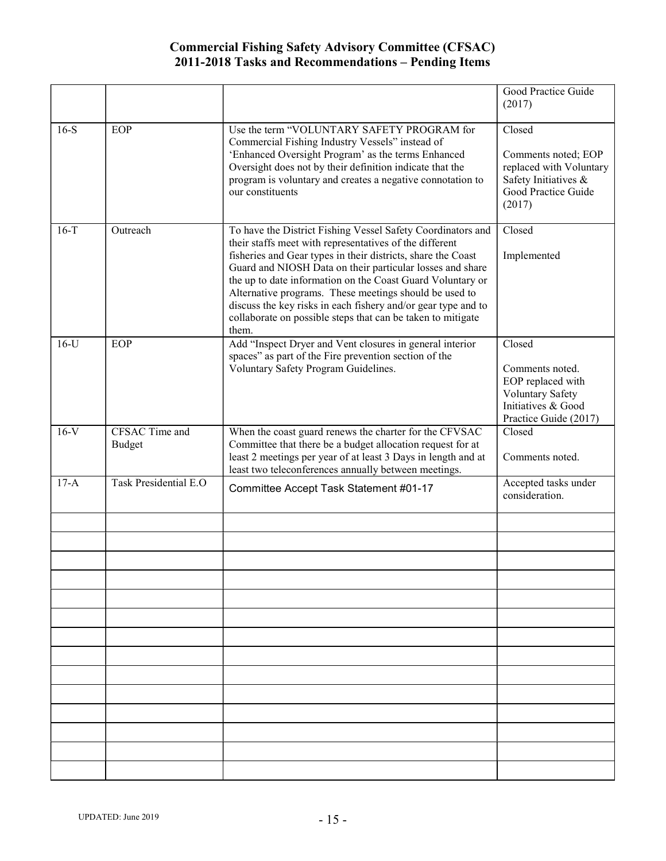|        |                                        |                                                                                                                                                                                                                                                                                                                                                                                                                                                                                                                      | Good Practice Guide<br>(2017)                                                                                     |
|--------|----------------------------------------|----------------------------------------------------------------------------------------------------------------------------------------------------------------------------------------------------------------------------------------------------------------------------------------------------------------------------------------------------------------------------------------------------------------------------------------------------------------------------------------------------------------------|-------------------------------------------------------------------------------------------------------------------|
| $16-S$ | <b>EOP</b>                             | Use the term "VOLUNTARY SAFETY PROGRAM for<br>Commercial Fishing Industry Vessels" instead of<br>'Enhanced Oversight Program' as the terms Enhanced<br>Oversight does not by their definition indicate that the<br>program is voluntary and creates a negative connotation to<br>our constituents                                                                                                                                                                                                                    | Closed<br>Comments noted; EOP<br>replaced with Voluntary<br>Safety Initiatives &<br>Good Practice Guide<br>(2017) |
| $16-T$ | Outreach                               | To have the District Fishing Vessel Safety Coordinators and<br>their staffs meet with representatives of the different<br>fisheries and Gear types in their districts, share the Coast<br>Guard and NIOSH Data on their particular losses and share<br>the up to date information on the Coast Guard Voluntary or<br>Alternative programs. These meetings should be used to<br>discuss the key risks in each fishery and/or gear type and to<br>collaborate on possible steps that can be taken to mitigate<br>them. | Closed<br>Implemented                                                                                             |
| $16-U$ | <b>EOP</b>                             | Add "Inspect Dryer and Vent closures in general interior<br>spaces" as part of the Fire prevention section of the<br>Voluntary Safety Program Guidelines.                                                                                                                                                                                                                                                                                                                                                            | Closed<br>Comments noted.<br>EOP replaced with<br>Voluntary Safety<br>Initiatives & Good<br>Practice Guide (2017) |
| $16-V$ | <b>CFSAC Time and</b><br><b>Budget</b> | When the coast guard renews the charter for the CFVSAC<br>Committee that there be a budget allocation request for at<br>least 2 meetings per year of at least 3 Days in length and at<br>least two teleconferences annually between meetings.                                                                                                                                                                                                                                                                        | Closed<br>Comments noted.                                                                                         |
| $17-A$ | Task Presidential E.O                  | Committee Accept Task Statement #01-17                                                                                                                                                                                                                                                                                                                                                                                                                                                                               | Accepted tasks under<br>consideration.                                                                            |
|        |                                        |                                                                                                                                                                                                                                                                                                                                                                                                                                                                                                                      |                                                                                                                   |
|        |                                        |                                                                                                                                                                                                                                                                                                                                                                                                                                                                                                                      |                                                                                                                   |
|        |                                        |                                                                                                                                                                                                                                                                                                                                                                                                                                                                                                                      |                                                                                                                   |
|        |                                        |                                                                                                                                                                                                                                                                                                                                                                                                                                                                                                                      |                                                                                                                   |
|        |                                        |                                                                                                                                                                                                                                                                                                                                                                                                                                                                                                                      |                                                                                                                   |
|        |                                        |                                                                                                                                                                                                                                                                                                                                                                                                                                                                                                                      |                                                                                                                   |
|        |                                        |                                                                                                                                                                                                                                                                                                                                                                                                                                                                                                                      |                                                                                                                   |
|        |                                        |                                                                                                                                                                                                                                                                                                                                                                                                                                                                                                                      |                                                                                                                   |
|        |                                        |                                                                                                                                                                                                                                                                                                                                                                                                                                                                                                                      |                                                                                                                   |
|        |                                        |                                                                                                                                                                                                                                                                                                                                                                                                                                                                                                                      |                                                                                                                   |